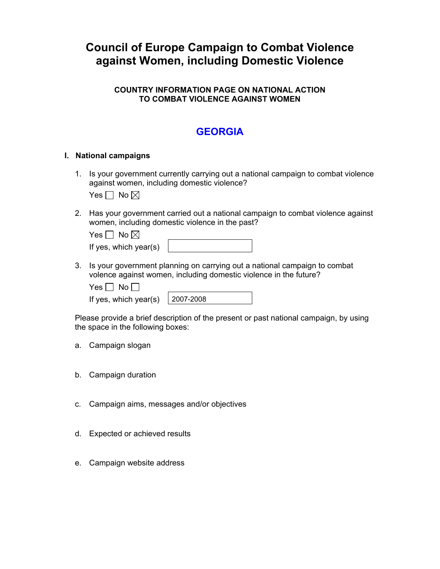# **Council of Europe Campaign to Combat Violence against Women, including Domestic Violence**

## **COUNTRY INFORMATION PAGE ON NATIONAL ACTION TO COMBAT VIOLENCE AGAINST WOMEN**

# **GEORGIA**

#### **I. National campaigns**

1. Is your government currently carrying out a national campaign to combat violence against women, including domestic violence?

Yes  $\Box$  No  $\boxtimes$ 

2. Has your government carried out a national campaign to combat violence against women, including domestic violence in the past?

| Yes $\Box$ No $\boxtimes$ |  |
|---------------------------|--|
| If yes, which year(s)     |  |

3. Is your government planning on carrying out a national campaign to combat volence against women, including domestic violence in the future?

| . . | חע |  |
|-----|----|--|
|-----|----|--|

If yes, which year(s)  $\vert$  20

| 07-2008 |  |
|---------|--|

Please provide a brief description of the present or past national campaign, by using the space in the following boxes:

- a. Campaign slogan
- b. Campaign duration
- c. Campaign aims, messages and/or objectives
- d. Expected or achieved results
- e. Campaign website address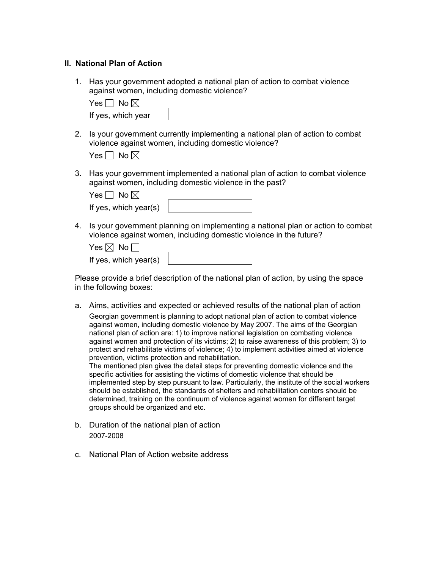#### **II. National Plan of Action**

1. Has your government adopted a national plan of action to combat violence against women, including domestic violence?

Yes  $\Box$  No  $\boxtimes$ 

| If yes, which year |  |
|--------------------|--|
|--------------------|--|

2. Is your government currently implementing a national plan of action to combat violence against women, including domestic violence?

| p | No ⊠ |
|---|------|
|---|------|

3. Has your government implemented a national plan of action to combat violence against women, including domestic violence in the past?

|  | ı<br>Y<br>n |
|--|-------------|
|--|-------------|

| If yes, which year(s) |  |
|-----------------------|--|
|-----------------------|--|

4. Is your government planning on implementing a national plan or action to combat violence against women, including domestic violence in the future?

| Yes $\boxtimes$ No $\Box$ |  |
|---------------------------|--|
| If yes, which year(s)     |  |

Please provide a brief description of the national plan of action, by using the space in the following boxes:

a. Aims, activities and expected or achieved results of the national plan of action

Georgian government is planning to adopt national plan of action to combat violence against women, including domestic violence by May 2007. The aims of the Georgian national plan of action are: 1) to improve national legislation on combating violence against women and protection of its victims; 2) to raise awareness of this problem; 3) to protect and rehabilitate victims of violence; 4) to implement activities aimed at violence prevention, victims protection and rehabilitation.

The mentioned plan gives the detail steps for preventing domestic violence and the specific activities for assisting the victims of domestic violence that should be implemented step by step pursuant to law. Particularly, the institute of the social workers should be established, the standards of shelters and rehabilitation centers should be determined, training on the continuum of violence against women for different target groups should be organized and etc.

- b. Duration of the national plan of action 2007-2008
- c. National Plan of Action website address